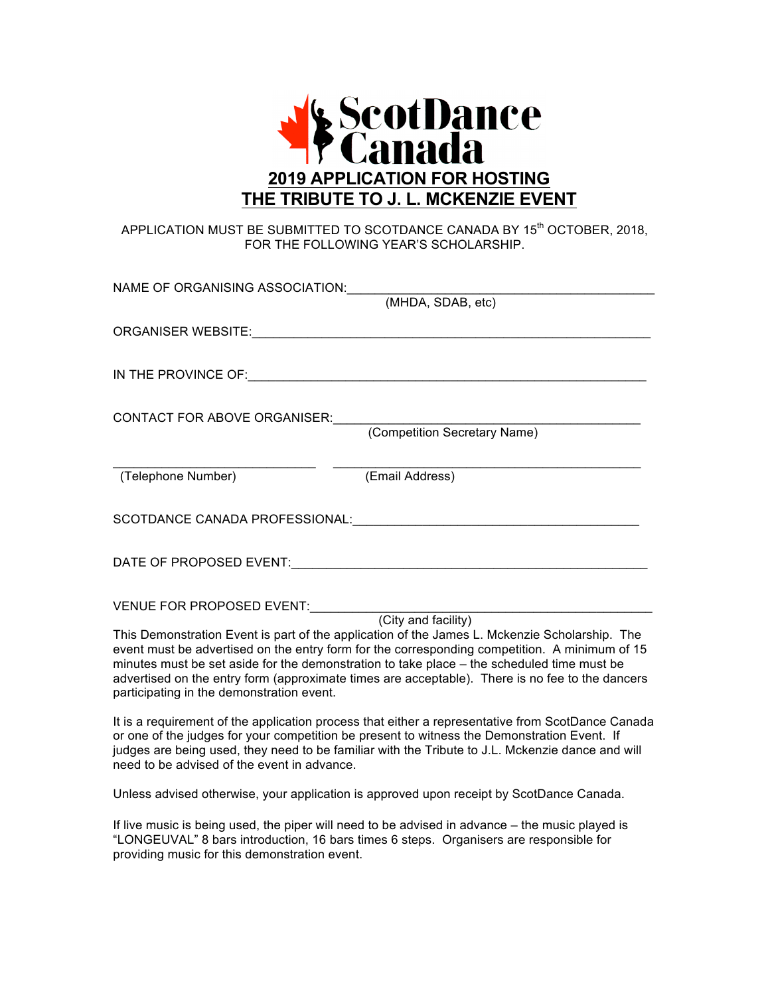

## APPLICATION MUST BE SUBMITTED TO SCOTDANCE CANADA BY 15<sup>th</sup> OCTOBER, 2018, FOR THE FOLLOWING YEAR'S SCHOLARSHIP.

| NAME OF ORGANISING ASSOCIATION:                           |                                                                                                                                                                                                                                                                                                                                                                                                                        |
|-----------------------------------------------------------|------------------------------------------------------------------------------------------------------------------------------------------------------------------------------------------------------------------------------------------------------------------------------------------------------------------------------------------------------------------------------------------------------------------------|
|                                                           | (MHDA, SDAB, etc)                                                                                                                                                                                                                                                                                                                                                                                                      |
|                                                           |                                                                                                                                                                                                                                                                                                                                                                                                                        |
|                                                           |                                                                                                                                                                                                                                                                                                                                                                                                                        |
| CONTACT FOR ABOVE ORGANISER: (Competition Secretary Name) |                                                                                                                                                                                                                                                                                                                                                                                                                        |
|                                                           |                                                                                                                                                                                                                                                                                                                                                                                                                        |
| (Telephone Number)                                        | (Email Address)                                                                                                                                                                                                                                                                                                                                                                                                        |
|                                                           |                                                                                                                                                                                                                                                                                                                                                                                                                        |
|                                                           |                                                                                                                                                                                                                                                                                                                                                                                                                        |
| VENUE FOR PROPOSED EVENT:                                 |                                                                                                                                                                                                                                                                                                                                                                                                                        |
| participating in the demonstration event.                 | (City and facility)<br>This Demonstration Event is part of the application of the James L. Mckenzie Scholarship. The<br>event must be advertised on the entry form for the corresponding competition. A minimum of 15<br>minutes must be set aside for the demonstration to take place - the scheduled time must be<br>advertised on the entry form (approximate times are acceptable). There is no fee to the dancers |
|                                                           | It is a requirement of the application process that either a representative from ScotDance Canada                                                                                                                                                                                                                                                                                                                      |

It is a requirement of the application process that either a representative from ScotDance Canada or one of the judges for your competition be present to witness the Demonstration Event. If judges are being used, they need to be familiar with the Tribute to J.L. Mckenzie dance and will need to be advised of the event in advance.

Unless advised otherwise, your application is approved upon receipt by ScotDance Canada.

If live music is being used, the piper will need to be advised in advance – the music played is "LONGEUVAL" 8 bars introduction, 16 bars times 6 steps. Organisers are responsible for providing music for this demonstration event.